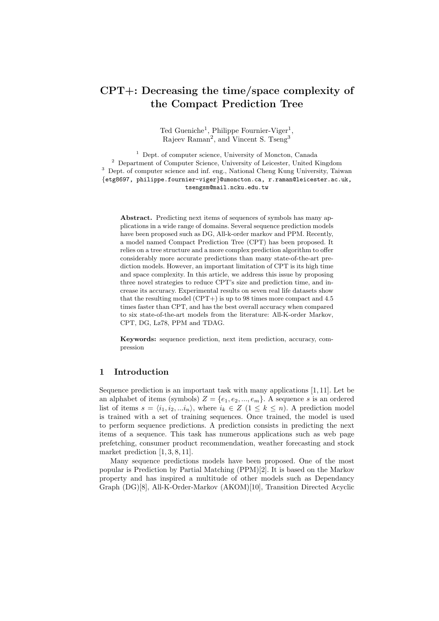# CPT+: Decreasing the time/space complexity of the Compact Prediction Tree

Ted Gueniche<sup>1</sup>, Philippe Fournier-Viger<sup>1</sup>, Rajeev Raman<sup>2</sup>, and Vincent S. Tseng<sup>3</sup>

<sup>1</sup> Dept. of computer science, University of Moncton, Canada <sup>2</sup> Department of Computer Science, University of Leicester, United Kingdom <sup>3</sup> Dept. of computer science and inf. eng., National Cheng Kung University, Taiwan {etg8697, philippe.fournier-viger}@umoncton.ca, r.raman@leicester.ac.uk, tsengsm@mail.ncku.edu.tw

Abstract. Predicting next items of sequences of symbols has many applications in a wide range of domains. Several sequence prediction models have been proposed such as DG, All-k-order markov and PPM. Recently, a model named Compact Prediction Tree (CPT) has been proposed. It relies on a tree structure and a more complex prediction algorithm to offer considerably more accurate predictions than many state-of-the-art prediction models. However, an important limitation of CPT is its high time and space complexity. In this article, we address this issue by proposing three novel strategies to reduce CPT's size and prediction time, and increase its accuracy. Experimental results on seven real life datasets show that the resulting model  $(CPT+)$  is up to 98 times more compact and 4.5 times faster than CPT, and has the best overall accuracy when compared to six state-of-the-art models from the literature: All-K-order Markov, CPT, DG, Lz78, PPM and TDAG.

Keywords: sequence prediction, next item prediction, accuracy, compression

#### 1 Introduction

Sequence prediction is an important task with many applications [1, 11]. Let be an alphabet of items (symbols)  $Z = \{e_1, e_2, ..., e_m\}$ . A sequence s is an ordered list of items  $s = \langle i_1, i_2, \ldots, i_n \rangle$ , where  $i_k \in Z$  ( $1 \leq k \leq n$ ). A prediction model is trained with a set of training sequences. Once trained, the model is used to perform sequence predictions. A prediction consists in predicting the next items of a sequence. This task has numerous applications such as web page prefetching, consumer product recommendation, weather forecasting and stock market prediction  $[1, 3, 8, 11]$ .

Many sequence predictions models have been proposed. One of the most popular is Prediction by Partial Matching (PPM)[2]. It is based on the Markov property and has inspired a multitude of other models such as Dependancy Graph (DG)[8], All-K-Order-Markov (AKOM)[10], Transition Directed Acyclic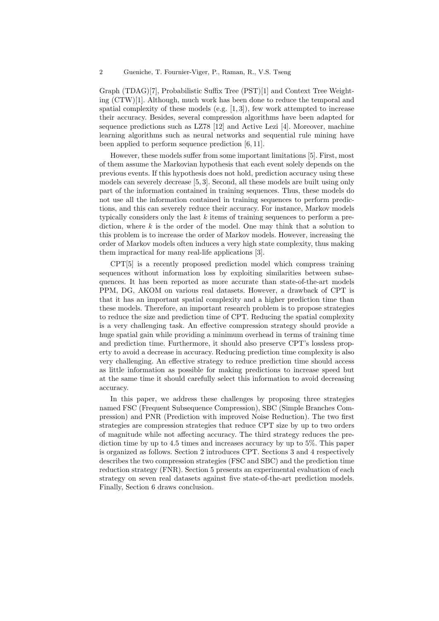Graph (TDAG)[7], Probabilistic Suffix Tree (PST)[1] and Context Tree Weighting (CTW)[1]. Although, much work has been done to reduce the temporal and spatial complexity of these models (e.g.  $[1,3]$ ), few work attempted to increase their accuracy. Besides, several compression algorithms have been adapted for sequence predictions such as LZ78 [12] and Active Lezi [4]. Moreover, machine learning algorithms such as neural networks and sequential rule mining have been applied to perform sequence prediction [6, 11].

However, these models suffer from some important limitations [5]. First, most of them assume the Markovian hypothesis that each event solely depends on the previous events. If this hypothesis does not hold, prediction accuracy using these models can severely decrease [5, 3]. Second, all these models are built using only part of the information contained in training sequences. Thus, these models do not use all the information contained in training sequences to perform predictions, and this can severely reduce their accuracy. For instance, Markov models typically considers only the last  $k$  items of training sequences to perform a prediction, where  $k$  is the order of the model. One may think that a solution to this problem is to increase the order of Markov models. However, increasing the order of Markov models often induces a very high state complexity, thus making them impractical for many real-life applications [3].

CPT[5] is a recently proposed prediction model which compress training sequences without information loss by exploiting similarities between subsequences. It has been reported as more accurate than state-of-the-art models PPM, DG, AKOM on various real datasets. However, a drawback of CPT is that it has an important spatial complexity and a higher prediction time than these models. Therefore, an important research problem is to propose strategies to reduce the size and prediction time of CPT. Reducing the spatial complexity is a very challenging task. An effective compression strategy should provide a huge spatial gain while providing a minimum overhead in terms of training time and prediction time. Furthermore, it should also preserve CPT's lossless property to avoid a decrease in accuracy. Reducing prediction time complexity is also very challenging. An effective strategy to reduce prediction time should access as little information as possible for making predictions to increase speed but at the same time it should carefully select this information to avoid decreasing accuracy.

In this paper, we address these challenges by proposing three strategies named FSC (Frequent Subsequence Compression), SBC (Simple Branches Compression) and PNR (Prediction with improved Noise Reduction). The two first strategies are compression strategies that reduce CPT size by up to two orders of magnitude while not affecting accuracy. The third strategy reduces the prediction time by up to 4.5 times and increases accuracy by up to 5%. This paper is organized as follows. Section 2 introduces CPT. Sections 3 and 4 respectively describes the two compression strategies (FSC and SBC) and the prediction time reduction strategy (FNR). Section 5 presents an experimental evaluation of each strategy on seven real datasets against five state-of-the-art prediction models. Finally, Section 6 draws conclusion.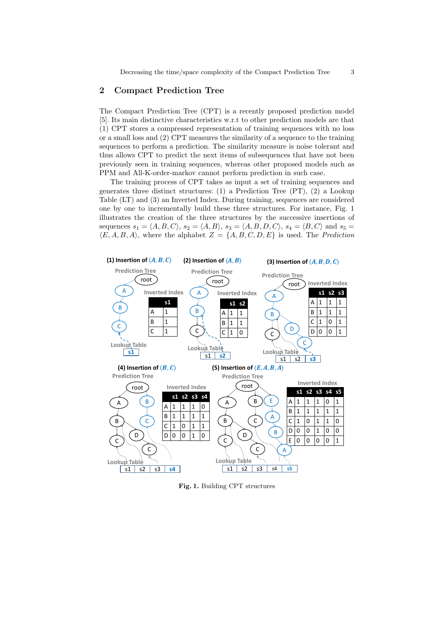# 2 Compact Prediction Tree

The Compact Prediction Tree (CPT) is a recently proposed prediction model [5]. Its main distinctive characteristics w.r.t to other prediction models are that (1) CPT stores a compressed representation of training sequences with no loss or a small loss and (2) CPT measures the similarity of a sequence to the training sequences to perform a prediction. The similarity measure is noise tolerant and thus allows CPT to predict the next items of subsequences that have not been previously seen in training sequences, whereas other proposed models such as PPM and All-K-order-markov cannot perform prediction in such case.

The training process of CPT takes as input a set of training sequences and generates three distinct structures: (1) a Prediction Tree (PT), (2) a Lookup Table (LT) and (3) an Inverted Index. During training, sequences are considered one by one to incrementally build these three structures. For instance, Fig. 1 illustrates the creation of the three structures by the successive insertions of sequences  $s_1 = \langle A, B, C \rangle$ ,  $s_2 = \langle A, B \rangle$ ,  $s_3 = \langle A, B, D, C \rangle$ ,  $s_4 = \langle B, C \rangle$  and  $s_5 =$  $\langle E, A, B, A \rangle$ , where the alphabet  $Z = \{A, B, C, D, E\}$  is used. The *Prediction* 



Fig. 1. Building CPT structures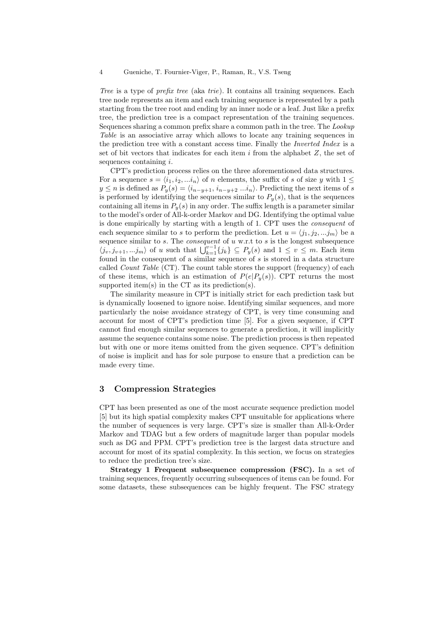Tree is a type of *prefix tree* (aka *trie*). It contains all training sequences. Each tree node represents an item and each training sequence is represented by a path starting from the tree root and ending by an inner node or a leaf. Just like a prefix tree, the prediction tree is a compact representation of the training sequences. Sequences sharing a common prefix share a common path in the tree. The Lookup Table is an associative array which allows to locate any training sequences in the prediction tree with a constant access time. Finally the Inverted Index is a set of bit vectors that indicates for each item i from the alphabet  $Z$ , the set of sequences containing  $i$ .

CPT's prediction process relies on the three aforementioned data structures. For a sequence  $s = \langle i_1, i_2, \ldots i_n \rangle$  of n elements, the suffix of s of size y with  $1 \leq$  $y \leq n$  is defined as  $P_y(s) = \langle i_{n-y+1}, i_{n-y+2} \dots i_n \rangle$ . Predicting the next items of s is performed by identifying the sequences similar to  $P_y(s)$ , that is the sequences containing all items in  $P_y(s)$  in any order. The suffix length is a parameter similar to the model's order of All-k-order Markov and DG. Identifying the optimal value is done empirically by starting with a length of 1. CPT uses the consequent of each sequence similar to s to perform the prediction. Let  $u = \langle j_1, j_2, ... j_m \rangle$  be a sequence similar to  $s$ . The *consequent* of  $u$  w.r.t to  $s$  is the longest subsequence  $\langle j_v, j_{v+1}, ... j_m \rangle$  of u such that  $\bigcup_{k=1}^{v-1} \{j_k\} \subseteq P_y(s)$  and  $1 \le v \le m$ . Each item found in the consequent of a similar sequence of s is stored in a data structure called Count Table (CT). The count table stores the support (frequency) of each of these items, which is an estimation of  $P(e|P_y(s))$ . CPT returns the most supported item(s) in the  $CT$  as its prediction(s).

The similarity measure in CPT is initially strict for each prediction task but is dynamically loosened to ignore noise. Identifying similar sequences, and more particularly the noise avoidance strategy of CPT, is very time consuming and account for most of CPT's prediction time [5]. For a given sequence, if CPT cannot find enough similar sequences to generate a prediction, it will implicitly assume the sequence contains some noise. The prediction process is then repeated but with one or more items omitted from the given sequence. CPT's definition of noise is implicit and has for sole purpose to ensure that a prediction can be made every time.

### 3 Compression Strategies

CPT has been presented as one of the most accurate sequence prediction model [5] but its high spatial complexity makes CPT unsuitable for applications where the number of sequences is very large. CPT's size is smaller than All-k-Order Markov and TDAG but a few orders of magnitude larger than popular models such as DG and PPM. CPT's prediction tree is the largest data structure and account for most of its spatial complexity. In this section, we focus on strategies to reduce the prediction tree's size.

Strategy 1 Frequent subsequence compression (FSC). In a set of training sequences, frequently occurring subsequences of items can be found. For some datasets, these subsequences can be highly frequent. The FSC strategy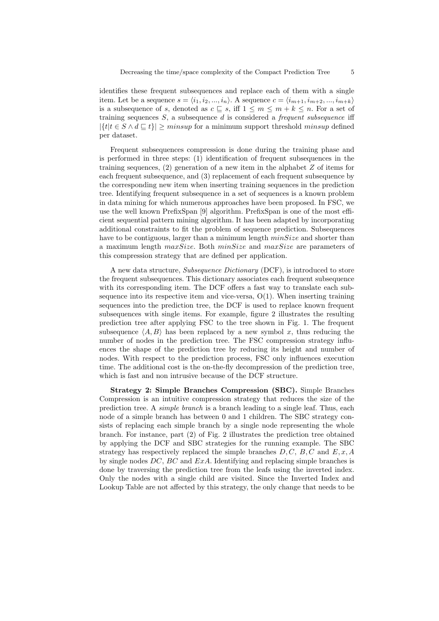identifies these frequent subsequences and replace each of them with a single item. Let be a sequence  $s = \langle i_1, i_2, ..., i_n \rangle$ . A sequence  $c = \langle i_{m+1}, i_{m+2}, ..., i_{m+k} \rangle$ is a subsequence of s, denoted as  $c \subseteq s$ , iff  $1 \le m \le m + k \le n$ . For a set of training sequences  $S$ , a subsequence d is considered a *frequent subsequence* iff  $|{t|t \in S \land d \sqsubset t}| > minsup$  for a minimum support threshold minsup defined per dataset.

Frequent subsequences compression is done during the training phase and is performed in three steps: (1) identification of frequent subsequences in the training sequences,  $(2)$  generation of a new item in the alphabet Z of items for each frequent subsequence, and (3) replacement of each frequent subsequence by the corresponding new item when inserting training sequences in the prediction tree. Identifying frequent subsequence in a set of sequences is a known problem in data mining for which numerous approaches have been proposed. In FSC, we use the well known PrefixSpan [9] algorithm. PrefixSpan is one of the most efficient sequential pattern mining algorithm. It has been adapted by incorporating additional constraints to fit the problem of sequence prediction. Subsequences have to be contiguous, larger than a minimum length  $minSize$  and shorter than a maximum length maxSize. Both minSize and maxSize are parameters of this compression strategy that are defined per application.

A new data structure, Subsequence Dictionary (DCF), is introduced to store the frequent subsequences. This dictionary associates each frequent subsequence with its corresponding item. The DCF offers a fast way to translate each subsequence into its respective item and vice-versa,  $O(1)$ . When inserting training sequences into the prediction tree, the DCF is used to replace known frequent subsequences with single items. For example, figure 2 illustrates the resulting prediction tree after applying FSC to the tree shown in Fig. 1. The frequent subsequence  $\langle A, B \rangle$  has been replaced by a new symbol x, thus reducing the number of nodes in the prediction tree. The FSC compression strategy influences the shape of the prediction tree by reducing its height and number of nodes. With respect to the prediction process, FSC only influences execution time. The additional cost is the on-the-fly decompression of the prediction tree, which is fast and non intrusive because of the DCF structure.

Strategy 2: Simple Branches Compression (SBC). Simple Branches Compression is an intuitive compression strategy that reduces the size of the prediction tree. A simple branch is a branch leading to a single leaf. Thus, each node of a simple branch has between 0 and 1 children. The SBC strategy consists of replacing each simple branch by a single node representing the whole branch. For instance, part (2) of Fig. 2 illustrates the prediction tree obtained by applying the DCF and SBC strategies for the running example. The SBC strategy has respectively replaced the simple branches  $D, C, B, C$  and  $E, x, A$ by single nodes  $DC$ ,  $BC$  and  $ExA$ . Identifying and replacing simple branches is done by traversing the prediction tree from the leafs using the inverted index. Only the nodes with a single child are visited. Since the Inverted Index and Lookup Table are not affected by this strategy, the only change that needs to be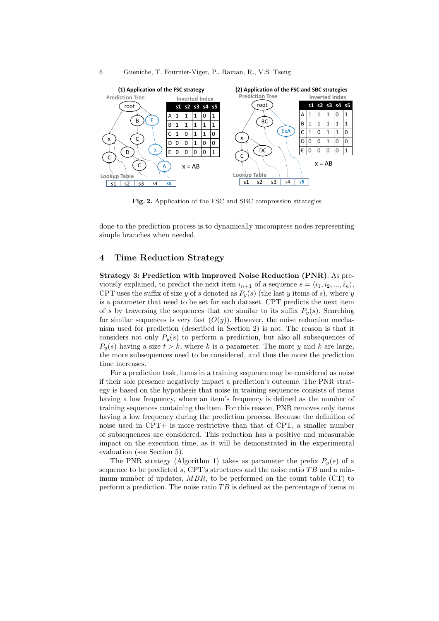

Fig. 2. Application of the FSC and SBC compression strategies

done to the prediction process is to dynamically uncompress nodes representing simple branches when needed.

# 4 Time Reduction Strategy

Strategy 3: Prediction with improved Noise Reduction (PNR). As previously explained, to predict the next item  $i_{n+1}$  of a sequence  $s = \langle i_1, i_2, ..., i_n \rangle$ , CPT uses the suffix of size y of s denoted as  $P_y(s)$  (the last y items of s), where y is a parameter that need to be set for each dataset. CPT predicts the next item of s by traversing the sequences that are similar to its suffix  $P_y(s)$ . Searching for similar sequences is very fast  $(O(y))$ . However, the noise reduction mechanism used for prediction (described in Section 2) is not. The reason is that it considers not only  $P_y(s)$  to perform a prediction, but also all subsequences of  $P_y(s)$  having a size  $t > k$ , where k is a parameter. The more y and k are large, the more subsequences need to be considered, and thus the more the prediction time increases.

For a prediction task, items in a training sequence may be considered as noise if their sole presence negatively impact a prediction's outcome. The PNR strategy is based on the hypothesis that noise in training sequences consists of items having a low frequency, where an item's frequency is defined as the number of training sequences containing the item. For this reason, PNR removes only items having a low frequency during the prediction process. Because the definition of noise used in CPT+ is more restrictive than that of CPT, a smaller number of subsequences are considered. This reduction has a positive and measurable impact on the execution time, as it will be demonstrated in the experimental evaluation (see Section 5).

The PNR strategy (Algorithm 1) takes as parameter the prefix  $P_y(s)$  of a sequence to be predicted s, CPT's structures and the noise ratio  $TB$  and a minimum number of updates,  $MBR$ , to be performed on the count table  $(CT)$  to perform a prediction. The noise ratio  $TB$  is defined as the percentage of items in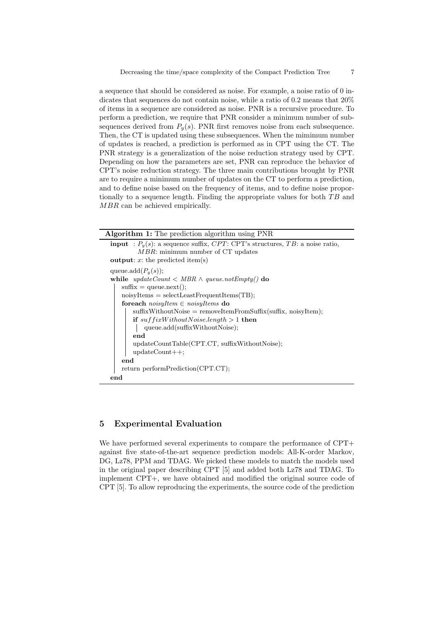a sequence that should be considered as noise. For example, a noise ratio of 0 indicates that sequences do not contain noise, while a ratio of 0.2 means that 20% of items in a sequence are considered as noise. PNR is a recursive procedure. To perform a prediction, we require that PNR consider a minimum number of subsequences derived from  $P_y(s)$ . PNR first removes noise from each subsequence. Then, the CT is updated using these subsequences. When the mimimum number of updates is reached, a prediction is performed as in CPT using the CT. The PNR strategy is a generalization of the noise reduction strategy used by CPT. Depending on how the parameters are set, PNR can reproduce the behavior of CPT's noise reduction strategy. The three main contributions brought by PNR are to require a minimum number of updates on the CT to perform a prediction, and to define noise based on the frequency of items, and to define noise proportionally to a sequence length. Finding the appropriate values for both  $TB$  and MBR can be achieved empirically.

| <b>Algorithm 1:</b> The prediction algorithm using PNR                                 |
|----------------------------------------------------------------------------------------|
| <b>input</b> : $P_y(s)$ : a sequence suffix, CPT: CPT's structures, TB: a noise ratio, |
| $MBR$ : minimum number of CT updates                                                   |
| <b>output:</b> $x$ : the predicted item(s)                                             |
| queue.add $(P_u(s))$ ;                                                                 |
| while $updateCount < MBR \wedge queue.netEmpty()$ do                                   |
| $\text{suffix} = \text{queue.next}();$                                                 |
| $noisyItems = selectLeastFrequency(TB);$                                               |
| for each noisy Item $\in$ noisy Items do                                               |
| $suffixWithoutNoise = removeItemFromSuffix(suffix, noisyItem);$                        |
| if $suffixWithoutNoise.length > 1$ then                                                |
| queue.add(suffixWithoutNoise);                                                         |
| end                                                                                    |
| updateCountTable(CPT.CT, suffixWithoutNoise);                                          |
| $updateCount++;$                                                                       |
| end                                                                                    |
| return performPrediction(CPT.CT);                                                      |
| end                                                                                    |

## 5 Experimental Evaluation

We have performed several experiments to compare the performance of  $CPT+$ against five state-of-the-art sequence prediction models: All-K-order Markov, DG, Lz78, PPM and TDAG. We picked these models to match the models used in the original paper describing CPT [5] and added both Lz78 and TDAG. To implement CPT+, we have obtained and modified the original source code of CPT [5]. To allow reproducing the experiments, the source code of the prediction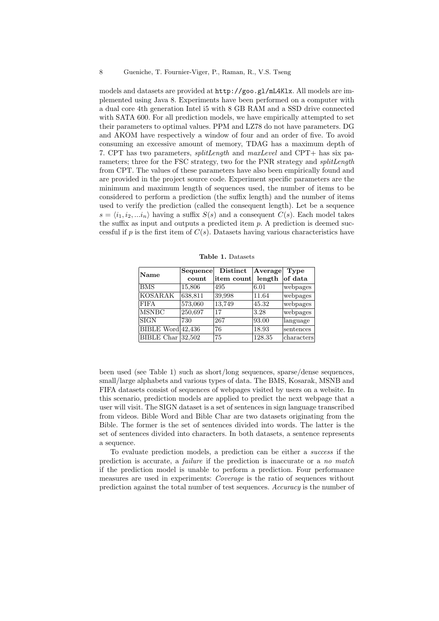models and datasets are provided at http://goo.gl/mL4Klx. All models are implemented using Java 8. Experiments have been performed on a computer with a dual core 4th generation Intel i5 with 8 GB RAM and a SSD drive connected with SATA 600. For all prediction models, we have empirically attempted to set their parameters to optimal values. PPM and LZ78 do not have parameters. DG and AKOM have respectively a window of four and an order of five. To avoid consuming an excessive amount of memory, TDAG has a maximum depth of 7. CPT has two parameters, splitLength and maxLevel and CPT+ has six parameters; three for the FSC strategy, two for the PNR strategy and *splitLength* from CPT. The values of these parameters have also been empirically found and are provided in the project source code. Experiment specific parameters are the minimum and maximum length of sequences used, the number of items to be considered to perform a prediction (the suffix length) and the number of items used to verify the prediction (called the consequent length). Let be a sequence  $s = \langle i_1, i_2, \ldots i_n \rangle$  having a suffix  $S(s)$  and a consequent  $C(s)$ . Each model takes the suffix as input and outputs a predicted item  $p$ . A prediction is deemed successful if p is the first item of  $C(s)$ . Datasets having various characteristics have

| Name                 | Sequence | Distinct   | Average | Type       |
|----------------------|----------|------------|---------|------------|
|                      | count    | item count | length  | of data    |
| <b>BMS</b>           | 15,806   | 495        | 6.01    | webpages   |
| <b>KOSARAK</b>       | 638,811  | 39,998     | 11.64   | webpages   |
| <b>FIFA</b>          | 573,060  | 13,749     | 45.32   | webpages   |
| <b>MSNBC</b>         | 250,697  | 17         | 3.28    | webpages   |
| <b>SIGN</b>          | 730      | 267        | 93.00   | language   |
| BIBLE Word $42,436$  |          | 76         | 18.93   | sentences  |
| BIBLE Char $ 32,502$ |          | 75         | 128.35  | characters |

Table 1. Datasets

been used (see Table 1) such as short/long sequences, sparse/dense sequences, small/large alphabets and various types of data. The BMS, Kosarak, MSNB and FIFA datasets consist of sequences of webpages visited by users on a website. In this scenario, prediction models are applied to predict the next webpage that a user will visit. The SIGN dataset is a set of sentences in sign language transcribed from videos. Bible Word and Bible Char are two datasets originating from the Bible. The former is the set of sentences divided into words. The latter is the set of sentences divided into characters. In both datasets, a sentence represents a sequence.

To evaluate prediction models, a prediction can be either a success if the prediction is accurate, a failure if the prediction is inaccurate or a no match if the prediction model is unable to perform a prediction. Four performance measures are used in experiments: Coverage is the ratio of sequences without prediction against the total number of test sequences. Accuracy is the number of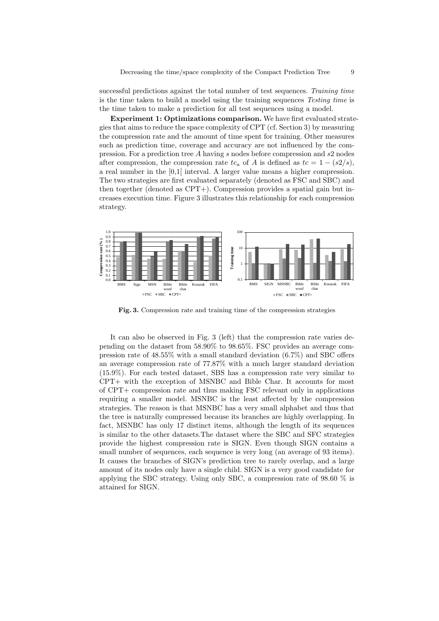successful predictions against the total number of test sequences. Training time is the time taken to build a model using the training sequences Testing time is the time taken to make a prediction for all test sequences using a model.

Experiment 1: Optimizations comparison. We have first evaluated strategies that aims to reduce the space complexity of CPT (cf. Section 3) by measuring the compression rate and the amount of time spent for training. Other measures such as prediction time, coverage and accuracy are not influenced by the compression. For a prediction tree A having s nodes before compression and s2 nodes after compression, the compression rate  $tc_a$  of A is defined as  $tc = 1 - (s2/s)$ , a real number in the [0,1[ interval. A larger value means a higher compression. The two strategies are first evaluated separately (denoted as FSC and SBC) and then together (denoted as CPT+). Compression provides a spatial gain but increases execution time. Figure 3 illustrates this relationship for each compression strategy.



Fig. 3. Compression rate and training time of the compression strategies

pression rate of  $48.55\%$  with a small standard deviation  $(6.7\%)$  and SBC offers -o It can also be observed in Fig. 3 (left) that the ending on the dataset from  $58.90\%$  to  $98.65\%$ . FSC  $100$ ,  $100$ ,  $100$ ,  $100$ ,  $100$ ,  $100$ ,  $100$ ,  $100$ (15.9%). For each tested dataset, SBS has a compression rate very similar to  $\cdots$ pending on the dataset from  $58.90\%$  to  $98.65\%$ . FSC provides an average com-It can also be observed in Fig. 3 (left) that the compression rate varies dean average compression rate of 77.87% with a much larger standard deviation CPT+ with the exception of MSNBC and Bible Char. It accounts for most of CPT+ compression rate and thus making FSC relevant only in applications requiring a smaller model. MSNBC is the least affected by the compression strategies. The reason is that MSNBC has a very small alphabet and thus that the tree is naturally compressed because its branches are highly overlapping. In fact, MSNBC has only 17 distinct items, although the length of its sequences is similar to the other datasets.The dataset where the SBC and SFC strategies provide the highest compression rate is SIGN. Even though SIGN contains a small number of sequences, each sequence is very long (an average of 93 items). It causes the branches of SIGN's prediction tree to rarely overlap, and a large amount of its nodes only have a single child. SIGN is a very good candidate for applying the SBC strategy. Using only SBC, a compression rate of 98.60 % is attained for SIGN.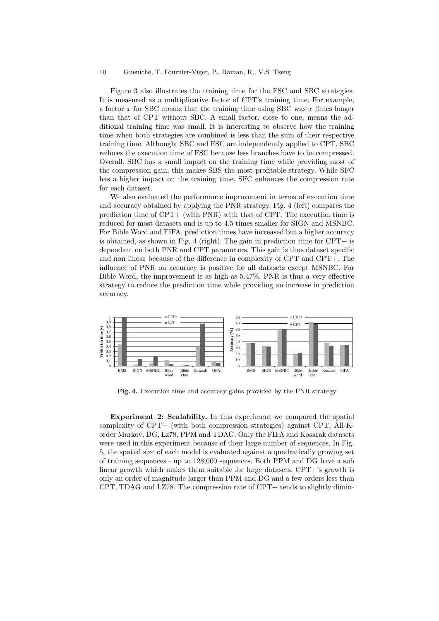#### 10 Gueniche, T. Fournier-Viger, P., Raman, R., V.S. Tseng

Figure 3 also illustrates the training time for the FSC and SBC strategies. It is measured as a multiplicative factor of CPT's training time. For example, a factor  $x$  for SBC means that the training time using SBC was  $x$  times longer than that of CPT without SBC. A small factor, close to one, means the additional training time was small. It is interesting to observe how the training time when both strategies are combined is less than the sum of their respective training time. Althought SBC and FSC are independently applied to CPT, SBC reduces the execution time of FSC because less branches have to be compressed. Overall, SBC has a small impact on the training time while providing most of the compression gain, this makes SBS the most profitable strategy. While SFC has a higher impact on the training time, SFC enhances the compression rate for each dataset.

We also evaluated the performance improvement in terms of execution time and accuracy obtained by applying the PNR strategy. Fig. 4 (left) compares the prediction time of CPT+ (with PNR) with that of CPT. The execution time is reduced for most datasets and is up to 4.5 times smaller for SIGN and MSNBC. For Bible Word and FIFA, prediction times have increased but a higher accuracy is obtained, as shown in Fig. 4 (right). The gain in prediction time for  $CPT+$  is dependant on both PNR and CPT parameters. This gain is thus dataset specific and non linear because of the difference in complexity of CPT and CPT+. The influence of PNR on accuracy is positive for all datasets except MSNBC. For Bible Word, the improvement is as high as 5.47%. PNR is thus a very effective strategy to reduce the prediction time while providing an increase in prediction accuracy.



Fig. 4. Execution time and accuracy gains provided by the PNR strategy

Experiment 2: Scalability. In this experiment we compared the spatial complexity of CPT+ (with both compression strategies) against CPT, All-Korder Markov, DG, Lz78, PPM and TDAG. Only the FIFA and Kosarak datasets were used in this experiment because of their large number of sequences. In Fig. 5, the spatial size of each model is evaluated against a quadratically growing set of training sequences - up to 128,000 sequences. Both PPM and DG have a sub linear growth which makes them suitable for large datasets. CPT+'s growth is only an order of magnitude larger than PPM and DG and a few orders less than CPT, TDAG and LZ78. The compression rate of CPT+ tends to slightly dimin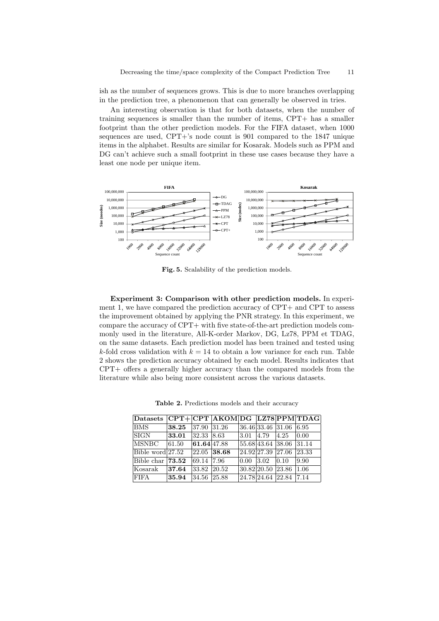ish as the number of sequences grows. This is due to more branches overlapping in the prediction tree, a phenomenon that can generally be observed in tries.

An interesting observation is that for both datasets, when the number of training sequences is smaller than the number of items,  $CPT+$  has a smaller footprint than the other prediction models. For the FIFA dataset, when 1000 sequences are used, CPT+'s node count is 901 compared to the 1847 unique items in the alphabet. Results are similar for Kosarak. Models such as PPM and DG can't achieve such a small footprint in these use cases because they have a least one node per unique item. **Compression rate (% )**  $\overline{a}$ nı<br>de<br>r<br>i



Fig. 5. Scalability of the prediction models.

Experiment 3: Comparison with other prediction models. In experiment 1, we have compared the prediction accuracy of CPT+ and CPT to assess the improvement obtained by applying the PNR strategy. In this experiment, we compare the accuracy of CPT+ with five state-of-the-art prediction models commonly used in the literature, All-K-order Markov, DG, Lz78, PPM et TDAG, on the same datasets. Each prediction model has been trained and tested using k-fold cross validation with  $k = 14$  to obtain a low variance for each run. Table 2 shows the prediction accuracy obtained by each model. Results indicates that CPT+ offers a generally higher accuracy than the compared models from the literature while also being more consistent across the various datasets.

| Datasets CPT+CPT AKOMDG LZ78 PPM TDAG |                            |             |             |                         |                                               |      |
|---------------------------------------|----------------------------|-------------|-------------|-------------------------|-----------------------------------------------|------|
| <b>BMS</b>                            | 38.25                      | 37.90 31.26 |             |                         | 36.46 33.46 31.06 6.95                        |      |
| <b>SIGN</b>                           | <b>33.01</b> $ 32.33 8.63$ |             |             |                         | $\vert 3.01 \vert 4.79 \vert 4.25 \vert 0.00$ |      |
| MSNBC  61.50                          |                            | 61.64 47.88 |             |                         | 55.68 43.64  38.06  31.14                     |      |
| Bible word 27.52                      |                            |             | 22.05 38.68 |                         | 24.92 27.39 27.06 23.33                       |      |
| Bible char $ 73.52\rangle$            |                            | 69.14 7.96  |             | $ 0.00 \t 3.02 \t 0.10$ |                                               | 9.90 |
| Kosarak                               | 37.64                      | 33.82 20.52 |             |                         | 30.82 20.50 23.86 1.06                        |      |
| <b>FIFA</b>                           | 35.94                      | 34.56 25.88 |             |                         | 24.78 24.64 22.84 7.14                        |      |

Table 2. Predictions models and their accuracy